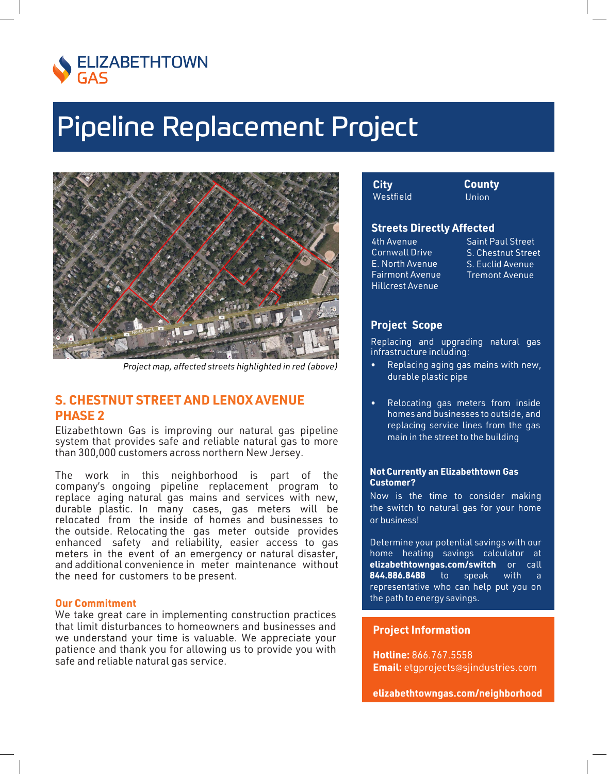

## **Pipeline Replacement Project**



Project map, affected streets highlighted in red (above)

## **S. CHESTNUT STREET AND LENOX AVENUE PHASE 2**

Elizabethtown Gas is improving our natural gas pipeline system that provides safe and reliable natural gas to more than 300,000 customers across northern New Jersey.

The work in this neighborhood is part of the company's ongoing pipeline replacement program to replace aging natural gas mains and services with new, durable plastic. In many cases, gas meters will be relocated from the inside of homes and businesses to the outside. Relocating the gas meter outside provides enhanced safety and reliability, easier access to gas meters in the event of an emergency or natural disaster, and additional convenience in meter maintenance without the need for customers to be present.

## **Our Commitment**

We take great care in implementing construction practices that limit disturbances to homeowners and businesses and we understand your time is valuable. We appreciate your patience and thank you for allowing us to provide you with safe and reliable natural gas service.

| City      |  |
|-----------|--|
| Westfield |  |

**County Union** 

## **Streets Directly Affected**

4th Avenue Cornwall Drive E. North Avenue **Fairmont Avenue Hillcrest Avenue** 

**Saint Paul Street** S. Chestnut Street S. Fuclid Avenue **Tremont Avenue** 

## **Project Scope**

Replacing and upgrading natural gas infrastructure including:

- Replacing aging gas mains with new, durable plastic pipe
- Relocating gas meters from inside homes and businesses to outside, and replacing service lines from the gas main in the street to the building

### **Not Currently an Elizabethtown Gas Customer?**

Now is the time to consider making the switch to natural gas for your home or business!

Determine your potential savings with our home heating savings calculator at elizabethtowngas.com/switch or call 844.886.8488  $to$ speak with a representative who can help put you on the path to energy savings.

### **Project Information**

Hotline: 866.767.5558 Email: etgprojects@sjindustries.com

elizabethtowngas.com/neighborhood